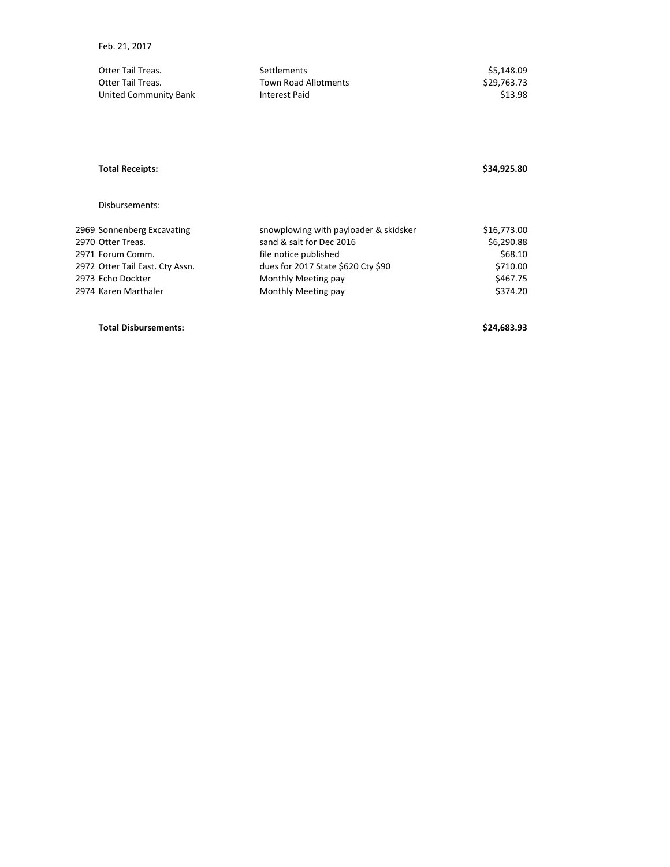| Otter Tail Treas.     | Settlements                 | \$5.148.09  |
|-----------------------|-----------------------------|-------------|
| Otter Tail Treas.     | <b>Town Road Allotments</b> | \$29.763.73 |
| United Community Bank | Interest Paid               | \$13.98     |

## **Total Receipts: \$34,925.80**

Disbursements:

| 2969 Sonnenberg Excavating      | snowplowing with payloader & skidsker | \$16,773.00 |
|---------------------------------|---------------------------------------|-------------|
| 2970 Otter Treas.               | sand & salt for Dec 2016              | \$6,290.88  |
| 2971 Forum Comm.                | file notice published                 | \$68.10     |
| 2972 Otter Tail East. Cty Assn. | dues for 2017 State \$620 Cty \$90    | \$710.00    |
| 2973 Echo Dockter               | Monthly Meeting pay                   | \$467.75    |
| 2974 Karen Marthaler            | Monthly Meeting pay                   | \$374.20    |
|                                 |                                       |             |

## **Total Disbursements: \$24,683.93**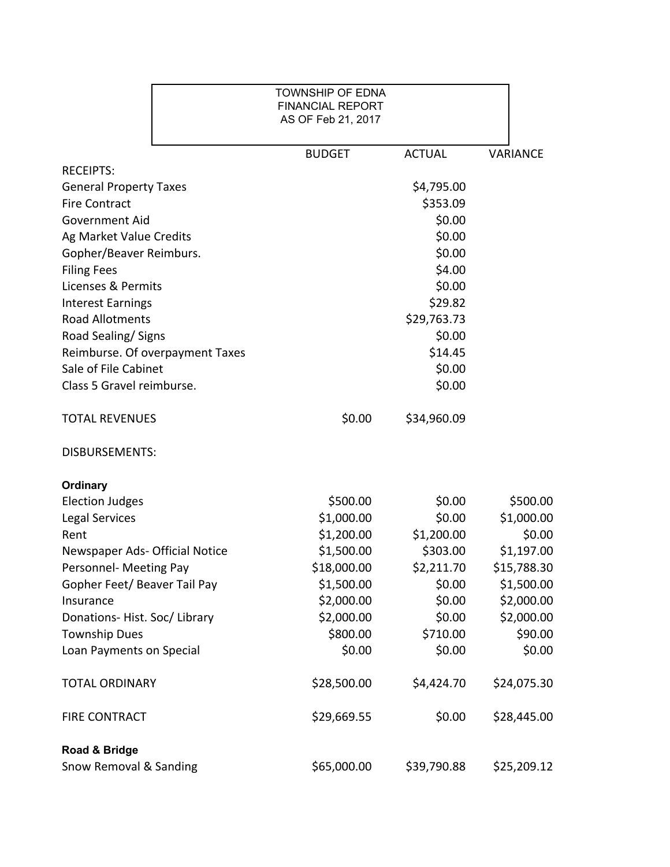|                                 | <b>TOWNSHIP OF EDNA</b><br><b>FINANCIAL REPORT</b><br>AS OF Feb 21, 2017 |               |                 |
|---------------------------------|--------------------------------------------------------------------------|---------------|-----------------|
|                                 | <b>BUDGET</b>                                                            | <b>ACTUAL</b> | <b>VARIANCE</b> |
| <b>RECEIPTS:</b>                |                                                                          |               |                 |
| <b>General Property Taxes</b>   |                                                                          | \$4,795.00    |                 |
| <b>Fire Contract</b>            |                                                                          | \$353.09      |                 |
| <b>Government Aid</b>           |                                                                          | \$0.00        |                 |
| Ag Market Value Credits         |                                                                          | \$0.00        |                 |
| Gopher/Beaver Reimburs.         |                                                                          | \$0.00        |                 |
| <b>Filing Fees</b>              |                                                                          | \$4.00        |                 |
| Licenses & Permits              |                                                                          | \$0.00        |                 |
| <b>Interest Earnings</b>        |                                                                          | \$29.82       |                 |
| <b>Road Allotments</b>          |                                                                          | \$29,763.73   |                 |
| Road Sealing/ Signs             |                                                                          | \$0.00        |                 |
| Reimburse. Of overpayment Taxes |                                                                          | \$14.45       |                 |
| Sale of File Cabinet            |                                                                          | \$0.00        |                 |
| Class 5 Gravel reimburse.       |                                                                          | \$0.00        |                 |
| <b>TOTAL REVENUES</b>           | \$0.00                                                                   | \$34,960.09   |                 |
| <b>DISBURSEMENTS:</b>           |                                                                          |               |                 |
| <b>Ordinary</b>                 |                                                                          |               |                 |
| <b>Election Judges</b>          | \$500.00                                                                 | \$0.00        | \$500.00        |
| <b>Legal Services</b>           | \$1,000.00                                                               | \$0.00        | \$1,000.00      |
| Rent                            | \$1,200.00                                                               | \$1,200.00    | \$0.00          |
| Newspaper Ads- Official Notice  | \$1,500.00                                                               | \$303.00      | \$1,197.00      |
| Personnel- Meeting Pay          | \$18,000.00                                                              | \$2,211.70    | \$15,788.30     |
| Gopher Feet/ Beaver Tail Pay    | \$1,500.00                                                               | \$0.00        | \$1,500.00      |
| Insurance                       | \$2,000.00                                                               | \$0.00        | \$2,000.00      |
| Donations-Hist. Soc/Library     | \$2,000.00                                                               | \$0.00        | \$2,000.00      |
| <b>Township Dues</b>            | \$800.00                                                                 | \$710.00      | \$90.00         |
| Loan Payments on Special        | \$0.00                                                                   | \$0.00        | \$0.00          |
| <b>TOTAL ORDINARY</b>           | \$28,500.00                                                              | \$4,424.70    | \$24,075.30     |
| <b>FIRE CONTRACT</b>            | \$29,669.55                                                              | \$0.00        | \$28,445.00     |
| Road & Bridge                   |                                                                          |               |                 |
| Snow Removal & Sanding          | \$65,000.00                                                              | \$39,790.88   | \$25,209.12     |